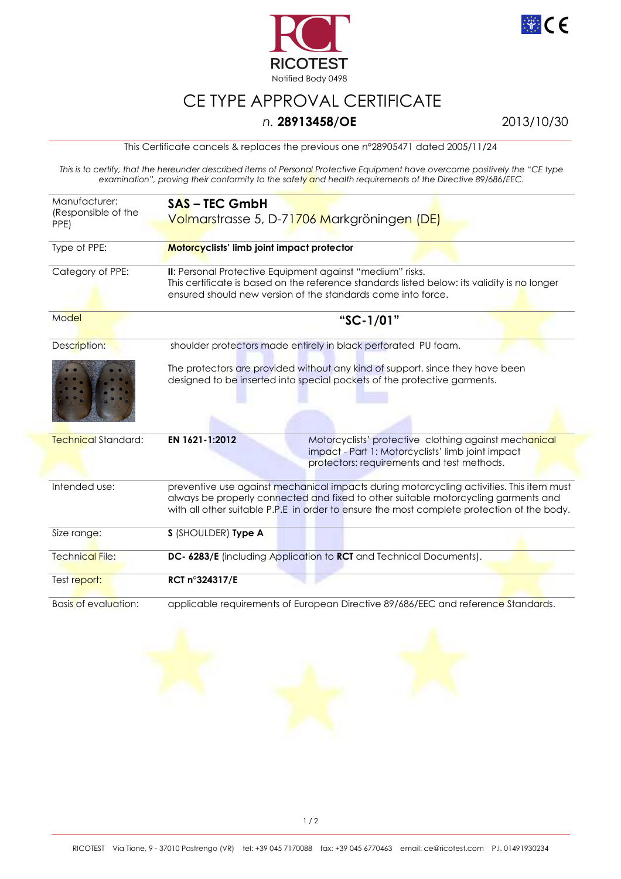



## CE TYPE APPROVAL CERTIFICATE

## *n.* **28913458/OE** 2013/10/30

This Certificate cancels & replaces the previous one n°28905471 dated 2005/11/24

*This is to certify, that the hereunder described items of Personal Protective Equipment have overcome positively the "CE type examination", proving their conformity to the safety and health requirements of the Directive 89/686/EEC.* 

| Manufacturer:<br>(Responsible of the<br>PPE) | <b>SAS-TEC GmbH</b><br>Volmarstrasse 5, D-71706 Markgröningen (DE)                                                                                                                                                                                                           |
|----------------------------------------------|------------------------------------------------------------------------------------------------------------------------------------------------------------------------------------------------------------------------------------------------------------------------------|
| Type of PPE:                                 | Motorcyclists' limb joint impact protector                                                                                                                                                                                                                                   |
| Category of PPE:                             | II: Personal Protective Equipment against "medium" risks.<br>This certificate is based on the reference standards listed below: its validity is no longer<br>ensured should new version of the standards come into force.                                                    |
| Model                                        | "SC-1/01"                                                                                                                                                                                                                                                                    |
| Description:                                 | shoulder protectors made entirely in black perforated PU foam.                                                                                                                                                                                                               |
|                                              | The protectors are provided without any kind of support, since they have been<br>designed to be inserted into special pockets of the protective garments.                                                                                                                    |
| <b>Technical Standard:</b>                   | EN 1621-1:2012<br>Motorcyclists' protective clothing against mechanical<br>impact - Part 1: Motorcyclists' limb joint impact<br>protectors: requirements and test methods.                                                                                                   |
| Intended use:                                | preventive use against mechanical impacts during motorcycling activities. This item must<br>always be properly connected and fixed to other suitable motorcycling garments and<br>with all other suitable P.P.E in order to ensure the most complete protection of the body. |
| Size range:                                  | S (SHOULDER) Type A                                                                                                                                                                                                                                                          |
| <b>Technical File:</b>                       | DC- 6283/E (including Application to RCT and Technical Documents).                                                                                                                                                                                                           |
| Test report:                                 | RCT n°324317/E                                                                                                                                                                                                                                                               |
| Basis of evaluation:                         | applicable requirements of European Directive 89/686/EEC and reference Standards.                                                                                                                                                                                            |